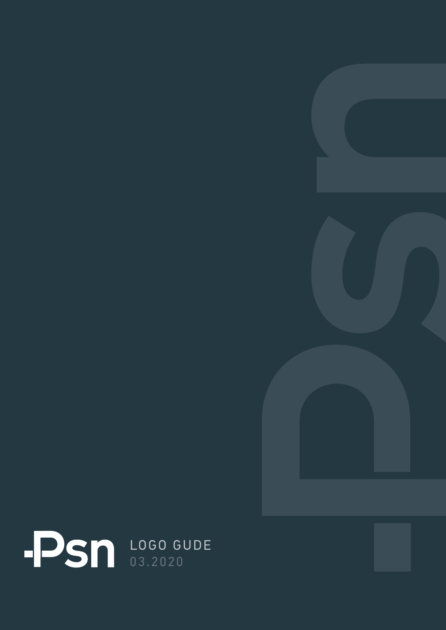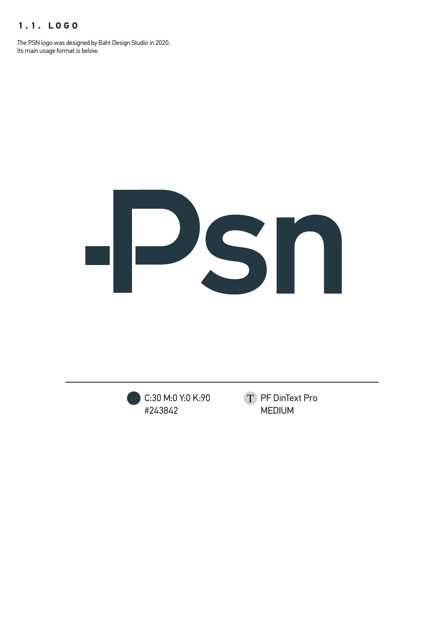## **1.1. LOGO**

The PSN logo was designed by Baht Design Studio in 2020. Its main usage format is below.



C:30 M:0 Y:0 K:90 #243842

T PF DinText Pro MEDIUM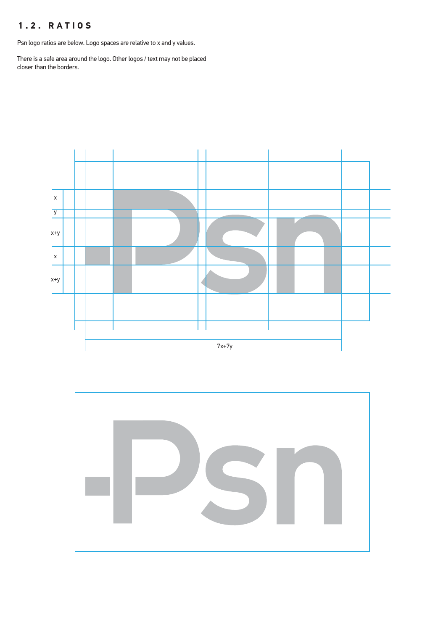## **1.2. RATIOS**

Psn logo ratios are below. Logo spaces are relative to x and y values.

There is a safe area around the logo. Other logos / text may not be placed closer than the borders.



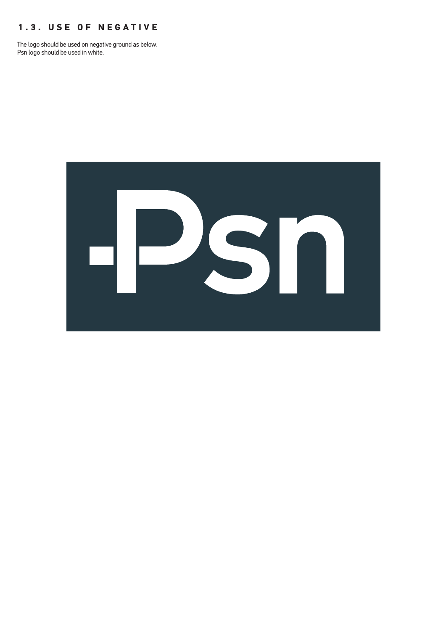#### **1.3. USE OF NEGATIVE**

The logo should be used on negative ground as below. Psn logo should be used in white.

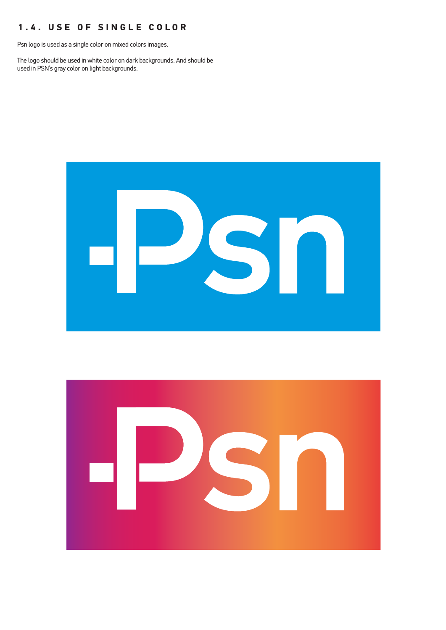## **1.4. USE OF SINGLE COLOR**

Psn logo is used as a single color on mixed colors images.

The logo should be used in white color on dark backgrounds. And should be used in PSN's gray color on light backgrounds.



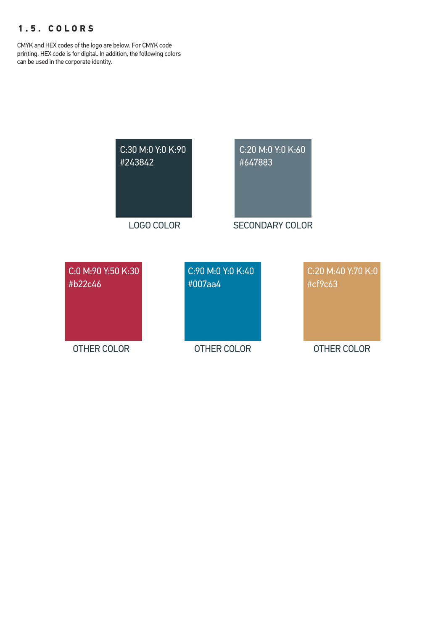## **1.5. COLORS**

CMYK and HEX codes of the logo are below. For CMYK code printing, HEX code is for digital. In addition, the following colors can be used in the corporate identity.

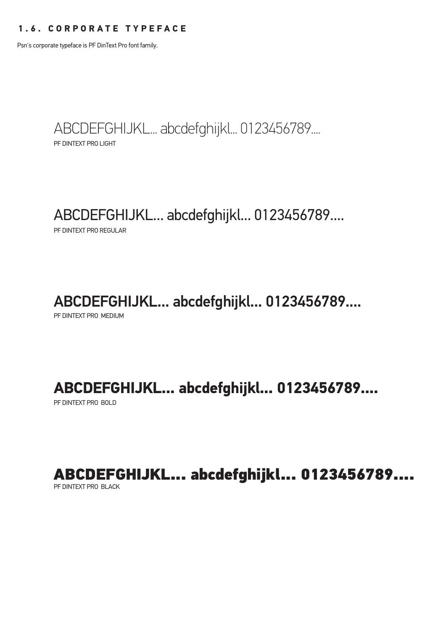#### **1.6. CORPORATE TYPEFACE**

Psn's corporate typeface is PF DinText Pro font family.

PF DINTEXT PRO LIGHT ABCDEFGHIJKL... abcdefghijkl... 0123456789....

## ABCDEFGHIJKL... abcdefghijkl... 0123456789....

PF DINTEXT PRO REGULAR

## ABCDEFGHIJKL... abcdefghijkl... 0123456789....

PF DINTEXT PRO MEDIUM

## **ABCDEFGHIJKL... abcdefghijkl... 0123456789....**

PF DINTEXT PRO BOLD

ABCDEFGHIJKL... abcdefghijkl... 0123456789....

PF DINTEXT PRO BLACK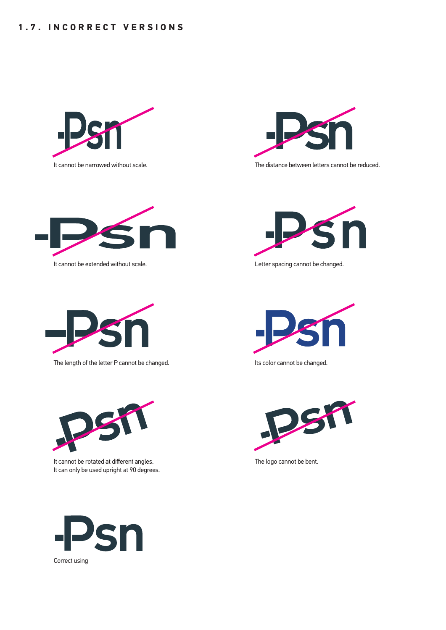

It cannot be narrowed without scale.



It cannot be extended without scale.



The length of the letter P cannot be changed.



It cannot be rotated at different angles. It can only be used upright at 90 degrees.



The distance between letters cannot be reduced.



Letter spacing cannot be changed.



Its color cannot be changed.



The logo cannot be bent.

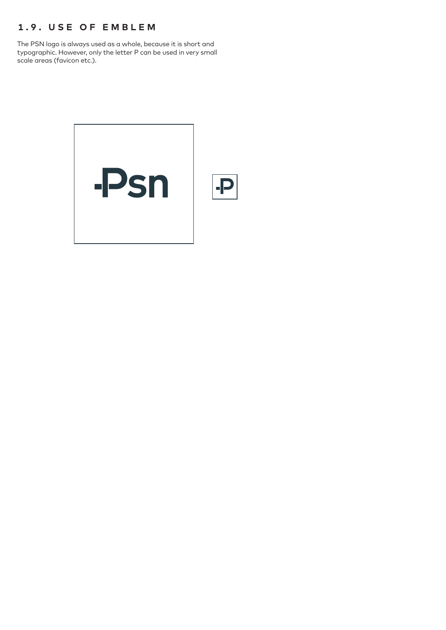## **1.9. USE OF EMBLEM**

The PSN logo is always used as a whole, because it is short and typographic. However, only the letter P can be used in very small scale areas (favicon etc.).

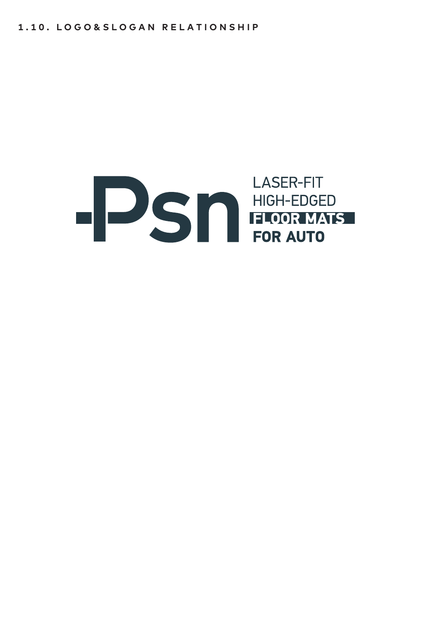# **EXAMPLE SERVICE SERVICE SERVICE SERVICE SERVICE SERVICE SERVICE SERVICE SERVICE SERVICE SERVICE SERVICE SERVICE SERVICE SERVICE SERVICE SERVICE SERVICE SERVICE SERVICE SERVICE SERVICE SERVICE SERVICE SERVICE SERVICE SERVI LASER-FIT**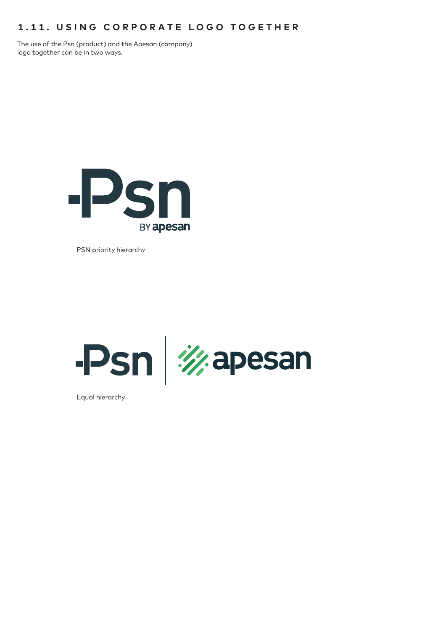## **1.11. USING CORPORATE LOGO TOGETHER**

The use of the Psn (product) and the Apesan (company) logo together can be in two ways.



PSN priority hierarchy



Equal hierarchy